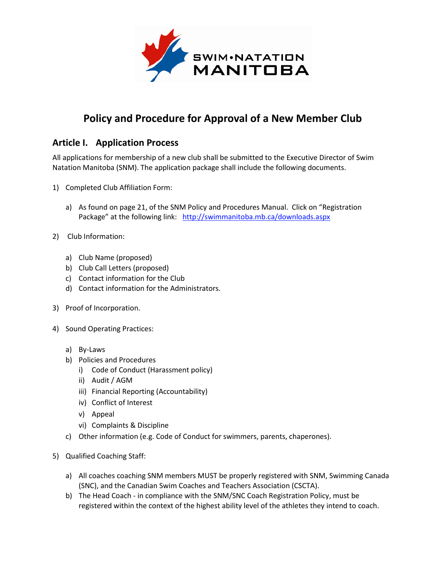

## **Policy and Procedure for Approval of a New Member Club**

## **Article I. Application Process**

All applications for membership of a new club shall be submitted to the Executive Director of Swim Natation Manitoba (SNM). The application package shall include the following documents.

- 1) Completed Club Affiliation Form:
	- a) As found on page 21, of the SNM Policy and Procedures Manual. Click on "Registration Package" at the following link: <http://swimmanitoba.mb.ca/downloads.aspx>
- 2) Club Information:
	- a) Club Name (proposed)
	- b) Club Call Letters (proposed)
	- c) Contact information for the Club
	- d) Contact information for the Administrators.
- 3) Proof of Incorporation.
- 4) Sound Operating Practices:
	- a) By-Laws
	- b) Policies and Procedures
		- i) Code of Conduct (Harassment policy)
		- ii) Audit / AGM
		- iii) Financial Reporting (Accountability)
		- iv) Conflict of Interest
		- v) Appeal
		- vi) Complaints & Discipline
	- c) Other information (e.g. Code of Conduct for swimmers, parents, chaperones).
- 5) Qualified Coaching Staff:
	- a) All coaches coaching SNM members MUST be properly registered with SNM, Swimming Canada (SNC), and the Canadian Swim Coaches and Teachers Association (CSCTA).
	- b) The Head Coach in compliance with the SNM/SNC Coach Registration Policy, must be registered within the context of the highest ability level of the athletes they intend to coach.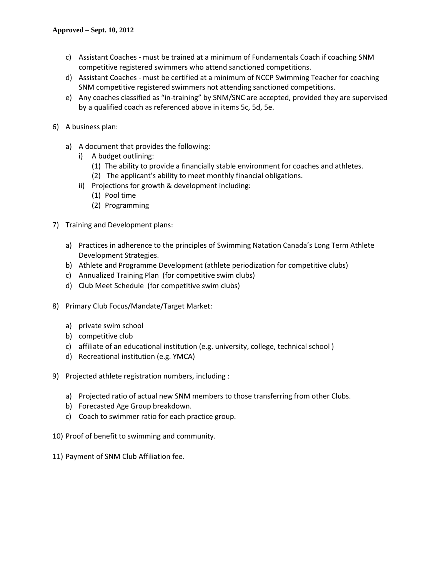- c) Assistant Coaches must be trained at a minimum of Fundamentals Coach if coaching SNM competitive registered swimmers who attend sanctioned competitions.
- d) Assistant Coaches must be certified at a minimum of NCCP Swimming Teacher for coaching SNM competitive registered swimmers not attending sanctioned competitions.
- e) Any coaches classified as "in-training" by SNM/SNC are accepted, provided they are supervised by a qualified coach as referenced above in items 5c, 5d, 5e.
- 6) A business plan:
	- a) A document that provides the following:
		- i) A budget outlining:
			- (1) The ability to provide a financially stable environment for coaches and athletes.
			- (2) The applicant's ability to meet monthly financial obligations.
		- ii) Projections for growth & development including:
			- (1) Pool time
			- (2) Programming
- 7) Training and Development plans:
	- a) Practices in adherence to the principles of Swimming Natation Canada's Long Term Athlete Development Strategies.
	- b) Athlete and Programme Development (athlete periodization for competitive clubs)
	- c) Annualized Training Plan (for competitive swim clubs)
	- d) Club Meet Schedule (for competitive swim clubs)
- 8) Primary Club Focus/Mandate/Target Market:
	- a) private swim school
	- b) competitive club
	- c) affiliate of an educational institution (e.g. university, college, technical school )
	- d) Recreational institution (e.g. YMCA)
- 9) Projected athlete registration numbers, including :
	- a) Projected ratio of actual new SNM members to those transferring from other Clubs.
	- b) Forecasted Age Group breakdown.
	- c) Coach to swimmer ratio for each practice group.
- 10) Proof of benefit to swimming and community.
- 11) Payment of SNM Club Affiliation fee.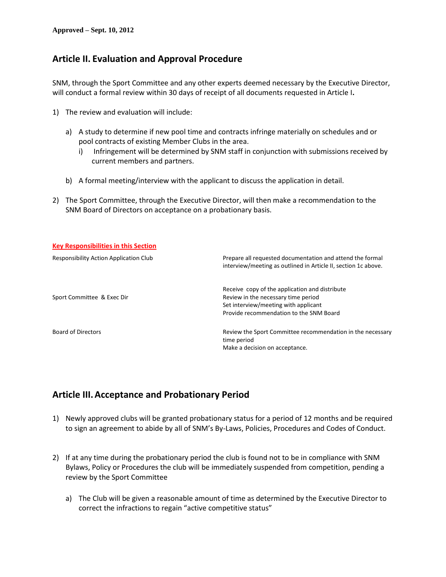## **Article II. Evaluation and Approval Procedure**

SNM, through the Sport Committee and any other experts deemed necessary by the Executive Director, will conduct a formal review within 30 days of receipt of all documents requested in Article I**.**

- 1) The review and evaluation will include:
	- a) A study to determine if new pool time and contracts infringe materially on schedules and or pool contracts of existing Member Clubs in the area.
		- i) Infringement will be determined by SNM staff in conjunction with submissions received by current members and partners.
	- b) A formal meeting/interview with the applicant to discuss the application in detail.
- 2) The Sport Committee, through the Executive Director, will then make a recommendation to the SNM Board of Directors on acceptance on a probationary basis.

| <b>Key Responsibilities in this Section</b> |                                                                                                                                                                          |
|---------------------------------------------|--------------------------------------------------------------------------------------------------------------------------------------------------------------------------|
| Responsibility Action Application Club      | Prepare all requested documentation and attend the formal<br>interview/meeting as outlined in Article II, section 1c above.                                              |
| Sport Committee & Exec Dir                  | Receive copy of the application and distribute<br>Review in the necessary time period<br>Set interview/meeting with applicant<br>Provide recommendation to the SNM Board |
| Board of Directors                          | Review the Sport Committee recommendation in the necessary<br>time period<br>Make a decision on acceptance.                                                              |

## **Article III.Acceptance and Probationary Period**

- 1) Newly approved clubs will be granted probationary status for a period of 12 months and be required to sign an agreement to abide by all of SNM's By-Laws, Policies, Procedures and Codes of Conduct.
- 2) If at any time during the probationary period the club is found not to be in compliance with SNM Bylaws, Policy or Procedures the club will be immediately suspended from competition, pending a review by the Sport Committee
	- a) The Club will be given a reasonable amount of time as determined by the Executive Director to correct the infractions to regain "active competitive status"